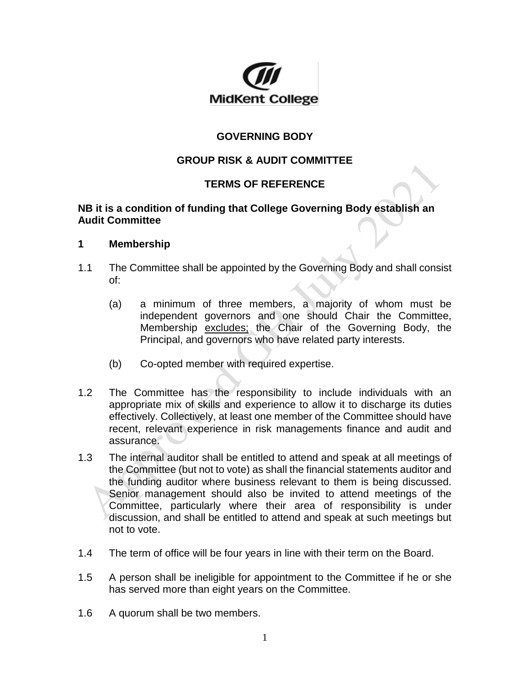

# **GOVERNING BODY**

# **GROUP RISK & AUDIT COMMITTEE**

## **TERMS OF REFERENCE**

### **NB it is a condition of funding that College Governing Body establish an Audit Committee**

#### **1 Membership**

- 1.1 The Committee shall be appointed by the Governing Body and shall consist of:
	- (a) a minimum of three members, a majority of whom must be independent governors and one should Chair the Committee, Membership excludes; the Chair of the Governing Body, the Principal, and governors who have related party interests.
	- (b) Co-opted member with required expertise.
- 1.2 The Committee has the responsibility to include individuals with an appropriate mix of skills and experience to allow it to discharge its duties effectively. Collectively, at least one member of the Committee should have recent, relevant experience in risk managements finance and audit and assurance.
- 1.3 The internal auditor shall be entitled to attend and speak at all meetings of the Committee (but not to vote) as shall the financial statements auditor and the funding auditor where business relevant to them is being discussed. Senior management should also be invited to attend meetings of the Committee, particularly where their area of responsibility is under discussion, and shall be entitled to attend and speak at such meetings but not to vote.
- 1.4 The term of office will be four years in line with their term on the Board.
- 1.5 A person shall be ineligible for appointment to the Committee if he or she has served more than eight years on the Committee.
- 1.6 A quorum shall be two members.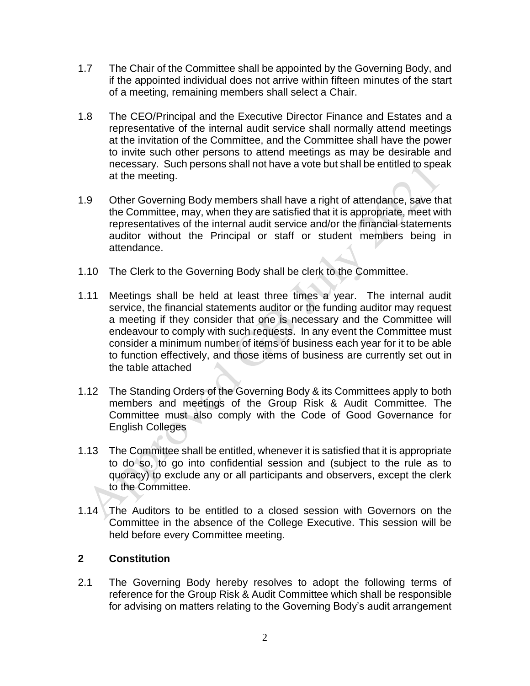- 1.7 The Chair of the Committee shall be appointed by the Governing Body, and if the appointed individual does not arrive within fifteen minutes of the start of a meeting, remaining members shall select a Chair.
- 1.8 The CEO/Principal and the Executive Director Finance and Estates and a representative of the internal audit service shall normally attend meetings at the invitation of the Committee, and the Committee shall have the power to invite such other persons to attend meetings as may be desirable and necessary. Such persons shall not have a vote but shall be entitled to speak at the meeting.
- 1.9 Other Governing Body members shall have a right of attendance, save that the Committee, may, when they are satisfied that it is appropriate, meet with representatives of the internal audit service and/or the financial statements auditor without the Principal or staff or student members being in attendance.
- 1.10 The Clerk to the Governing Body shall be clerk to the Committee.
- 1.11 Meetings shall be held at least three times a year. The internal audit service, the financial statements auditor or the funding auditor may request a meeting if they consider that one is necessary and the Committee will endeavour to comply with such requests. In any event the Committee must consider a minimum number of items of business each year for it to be able to function effectively, and those items of business are currently set out in the table attached
- 1.12 The Standing Orders of the Governing Body & its Committees apply to both members and meetings of the Group Risk & Audit Committee. The Committee must also comply with the Code of Good Governance for English Colleges
- 1.13 The Committee shall be entitled, whenever it is satisfied that it is appropriate to do so, to go into confidential session and (subject to the rule as to quoracy) to exclude any or all participants and observers, except the clerk to the Committee.
- 1.14 The Auditors to be entitled to a closed session with Governors on the Committee in the absence of the College Executive. This session will be held before every Committee meeting.

## **2 Constitution**

2.1 The Governing Body hereby resolves to adopt the following terms of reference for the Group Risk & Audit Committee which shall be responsible for advising on matters relating to the Governing Body's audit arrangement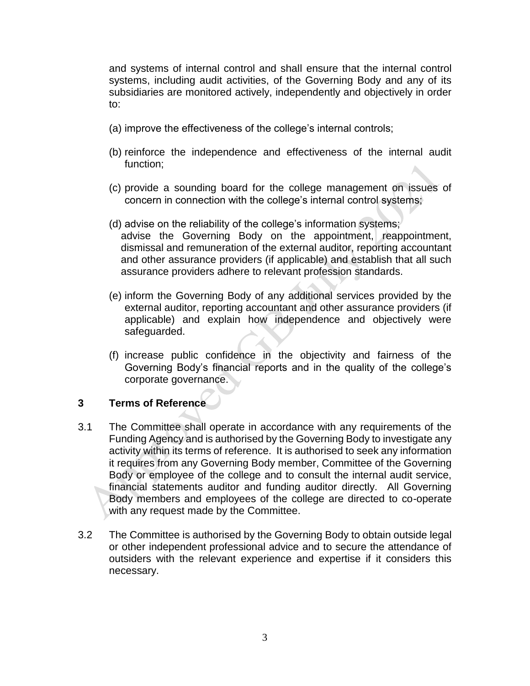and systems of internal control and shall ensure that the internal control systems, including audit activities, of the Governing Body and any of its subsidiaries are monitored actively, independently and objectively in order to:

- (a) improve the effectiveness of the college's internal controls;
- (b) reinforce the independence and effectiveness of the internal audit function;
- (c) provide a sounding board for the college management on issues of concern in connection with the college's internal control systems;
- (d) advise on the reliability of the college's information systems; advise the Governing Body on the appointment, reappointment, dismissal and remuneration of the external auditor, reporting accountant and other assurance providers (if applicable) and establish that all such assurance providers adhere to relevant profession standards.
- (e) inform the Governing Body of any additional services provided by the external auditor, reporting accountant and other assurance providers (if applicable) and explain how independence and objectively were safeguarded.
- (f) increase public confidence in the objectivity and fairness of the Governing Body's financial reports and in the quality of the college's corporate governance.

#### **3 Terms of Reference**

- 3.1 The Committee shall operate in accordance with any requirements of the Funding Agency and is authorised by the Governing Body to investigate any activity within its terms of reference. It is authorised to seek any information it requires from any Governing Body member, Committee of the Governing Body or employee of the college and to consult the internal audit service, financial statements auditor and funding auditor directly. All Governing Body members and employees of the college are directed to co-operate with any request made by the Committee.
- 3.2 The Committee is authorised by the Governing Body to obtain outside legal or other independent professional advice and to secure the attendance of outsiders with the relevant experience and expertise if it considers this necessary.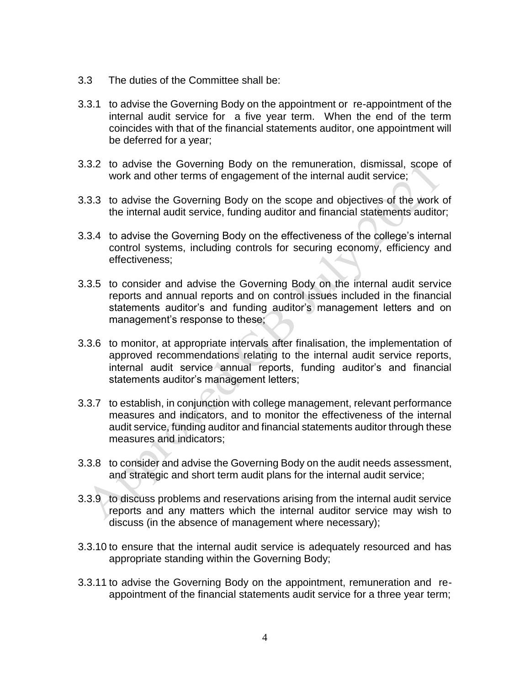- 3.3 The duties of the Committee shall be:
- 3.3.1 to advise the Governing Body on the appointment or re-appointment of the internal audit service for a five year term. When the end of the term coincides with that of the financial statements auditor, one appointment will be deferred for a year;
- 3.3.2 to advise the Governing Body on the remuneration, dismissal, scope of work and other terms of engagement of the internal audit service;
- 3.3.3 to advise the Governing Body on the scope and objectives of the work of the internal audit service, funding auditor and financial statements auditor;
- 3.3.4 to advise the Governing Body on the effectiveness of the college's internal control systems, including controls for securing economy, efficiency and effectiveness;
- 3.3.5 to consider and advise the Governing Body on the internal audit service reports and annual reports and on control issues included in the financial statements auditor's and funding auditor's management letters and on management's response to these;
- 3.3.6 to monitor, at appropriate intervals after finalisation, the implementation of approved recommendations relating to the internal audit service reports, internal audit service annual reports, funding auditor's and financial statements auditor's management letters;
- 3.3.7 to establish, in conjunction with college management, relevant performance measures and indicators, and to monitor the effectiveness of the internal audit service, funding auditor and financial statements auditor through these measures and indicators;
- 3.3.8 to consider and advise the Governing Body on the audit needs assessment, and strategic and short term audit plans for the internal audit service;
- 3.3.9 to discuss problems and reservations arising from the internal audit service reports and any matters which the internal auditor service may wish to discuss (in the absence of management where necessary);
- 3.3.10 to ensure that the internal audit service is adequately resourced and has appropriate standing within the Governing Body;
- 3.3.11 to advise the Governing Body on the appointment, remuneration and reappointment of the financial statements audit service for a three year term;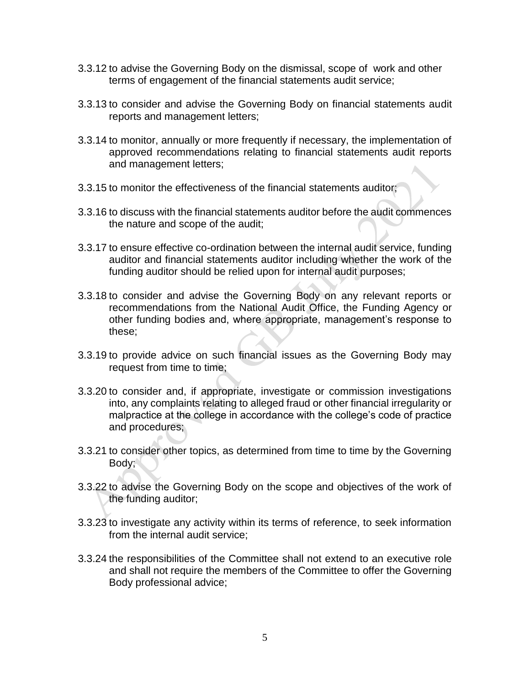- 3.3.12 to advise the Governing Body on the dismissal, scope of work and other terms of engagement of the financial statements audit service;
- 3.3.13 to consider and advise the Governing Body on financial statements audit reports and management letters;
- 3.3.14 to monitor, annually or more frequently if necessary, the implementation of approved recommendations relating to financial statements audit reports and management letters;
- 3.3.15 to monitor the effectiveness of the financial statements auditor;
- 3.3.16 to discuss with the financial statements auditor before the audit commences the nature and scope of the audit;
- 3.3.17 to ensure effective co-ordination between the internal audit service, funding auditor and financial statements auditor including whether the work of the funding auditor should be relied upon for internal audit purposes;
- 3.3.18 to consider and advise the Governing Body on any relevant reports or recommendations from the National Audit Office, the Funding Agency or other funding bodies and, where appropriate, management's response to these;
- 3.3.19 to provide advice on such financial issues as the Governing Body may request from time to time;
- 3.3.20 to consider and, if appropriate, investigate or commission investigations into, any complaints relating to alleged fraud or other financial irregularity or malpractice at the college in accordance with the college's code of practice and procedures;
- 3.3.21 to consider other topics, as determined from time to time by the Governing Body;
- 3.3.22 to advise the Governing Body on the scope and objectives of the work of the funding auditor;
- 3.3.23 to investigate any activity within its terms of reference, to seek information from the internal audit service;
- 3.3.24 the responsibilities of the Committee shall not extend to an executive role and shall not require the members of the Committee to offer the Governing Body professional advice;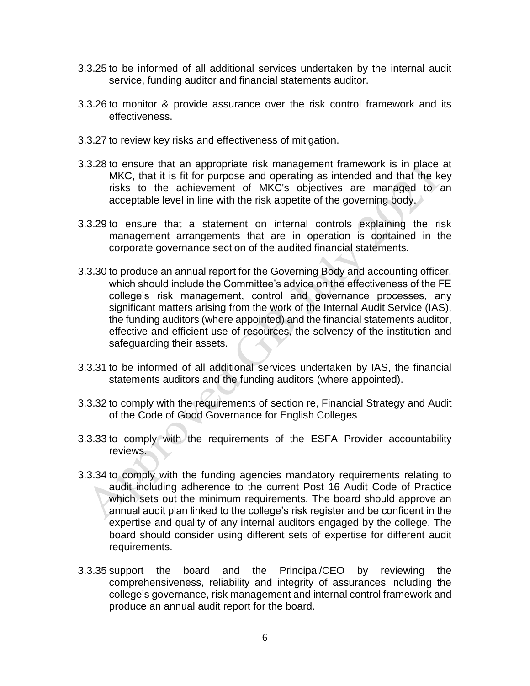- 3.3.25 to be informed of all additional services undertaken by the internal audit service, funding auditor and financial statements auditor.
- 3.3.26 to monitor & provide assurance over the risk control framework and its effectiveness.
- 3.3.27 to review key risks and effectiveness of mitigation.
- 3.3.28 to ensure that an appropriate risk management framework is in place at MKC, that it is fit for purpose and operating as intended and that the key risks to the achievement of MKC's objectives are managed to an acceptable level in line with the risk appetite of the governing body.
- 3.3.29 to ensure that a statement on internal controls explaining the risk management arrangements that are in operation is contained in the corporate governance section of the audited financial statements.
- 3.3.30 to produce an annual report for the Governing Body and accounting officer, which should include the Committee's advice on the effectiveness of the FE college's risk management, control and governance processes, any significant matters arising from the work of the Internal Audit Service (IAS), the funding auditors (where appointed) and the financial statements auditor, effective and efficient use of resources, the solvency of the institution and safeguarding their assets.
- 3.3.31 to be informed of all additional services undertaken by IAS, the financial statements auditors and the funding auditors (where appointed).
- 3.3.32 to comply with the requirements of section re, Financial Strategy and Audit of the Code of Good Governance for English Colleges
- 3.3.33 to comply with the requirements of the ESFA Provider accountability reviews.
- 3.3.34 to comply with the funding agencies mandatory requirements relating to audit including adherence to the current Post 16 Audit Code of Practice which sets out the minimum requirements. The board should approve an annual audit plan linked to the college's risk register and be confident in the expertise and quality of any internal auditors engaged by the college. The board should consider using different sets of expertise for different audit requirements.
- 3.3.35 support the board and the Principal/CEO by reviewing the comprehensiveness, reliability and integrity of assurances including the college's governance, risk management and internal control framework and produce an annual audit report for the board.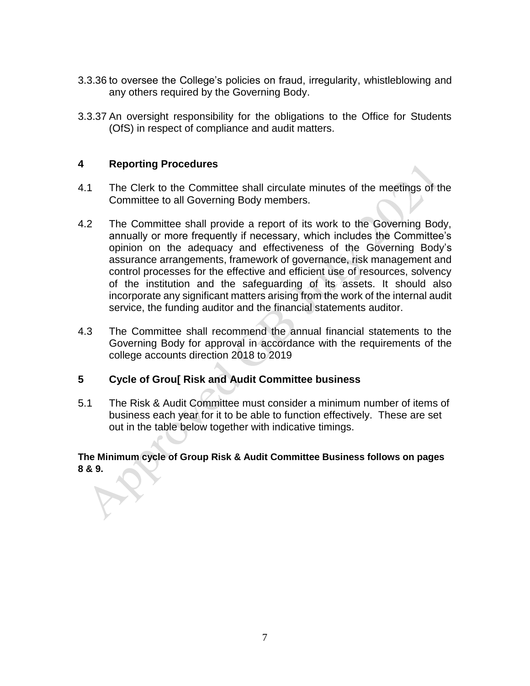- 3.3.36 to oversee the College's policies on fraud, irregularity, whistleblowing and any others required by the Governing Body.
- 3.3.37 An oversight responsibility for the obligations to the Office for Students (OfS) in respect of compliance and audit matters.

#### **4 Reporting Procedures**

- 4.1 The Clerk to the Committee shall circulate minutes of the meetings of the Committee to all Governing Body members.
- 4.2 The Committee shall provide a report of its work to the Governing Body, annually or more frequently if necessary, which includes the Committee's opinion on the adequacy and effectiveness of the Governing Body's assurance arrangements, framework of governance, risk management and control processes for the effective and efficient use of resources, solvency of the institution and the safeguarding of its assets. It should also incorporate any significant matters arising from the work of the internal audit service, the funding auditor and the financial statements auditor.
- 4.3 The Committee shall recommend the annual financial statements to the Governing Body for approval in accordance with the requirements of the college accounts direction 2018 to 2019

#### **5 Cycle of Grou[ Risk and Audit Committee business**

5.1 The Risk & Audit Committee must consider a minimum number of items of business each year for it to be able to function effectively. These are set out in the table below together with indicative timings.

**The Minimum cycle of Group Risk & Audit Committee Business follows on pages 8 & 9.**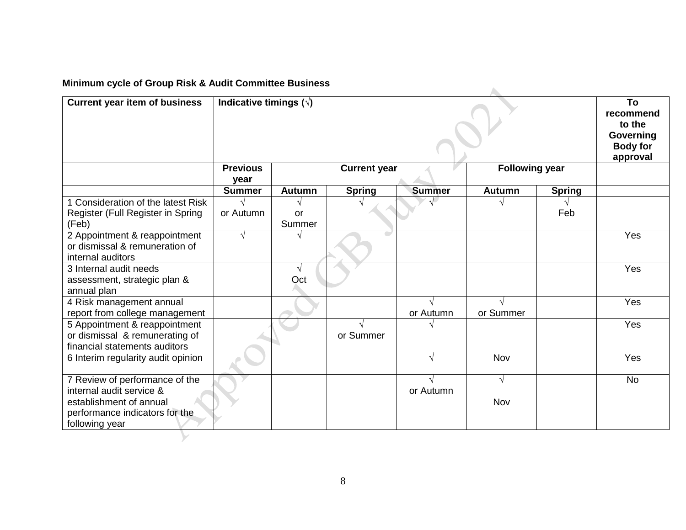# **Minimum cycle of Group Risk & Audit Committee Business**

| <b>Current year item of business</b>                                                                                                      | Indicative timings $(\sqrt{)}$ |                     |               |                         |                       |               |           |
|-------------------------------------------------------------------------------------------------------------------------------------------|--------------------------------|---------------------|---------------|-------------------------|-----------------------|---------------|-----------|
|                                                                                                                                           | <b>Previous</b><br>year        | <b>Current year</b> |               |                         | <b>Following year</b> |               |           |
|                                                                                                                                           | <b>Summer</b>                  | <b>Autumn</b>       | <b>Spring</b> | <b>Summer</b>           | <b>Autumn</b>         | <b>Spring</b> |           |
| 1 Consideration of the latest Risk<br>Register (Full Register in Spring<br>(Feb)                                                          | or Autumn                      | or<br>Summer        |               |                         |                       | Feb           |           |
| 2 Appointment & reappointment<br>or dismissal & remuneration of<br>internal auditors                                                      | $\sqrt{ }$                     |                     |               |                         |                       |               | Yes       |
| 3 Internal audit needs<br>assessment, strategic plan &<br>annual plan                                                                     |                                | $\sqrt{ }$<br>Oct   |               |                         |                       |               | Yes       |
| 4 Risk management annual<br>report from college management                                                                                |                                |                     |               | $\sqrt{ }$<br>or Autumn | or Summer             |               | Yes       |
| 5 Appointment & reappointment<br>or dismissal & remunerating of<br>financial statements auditors                                          |                                |                     | or Summer     |                         |                       |               | Yes       |
| 6 Interim regularity audit opinion                                                                                                        |                                |                     |               | $\sqrt{ }$              | Nov                   |               | Yes       |
| 7 Review of performance of the<br>internal audit service &<br>establishment of annual<br>performance indicators for the<br>following year |                                |                     |               | $\sqrt{ }$<br>or Autumn | $\sqrt{ }$<br>Nov     |               | <b>No</b> |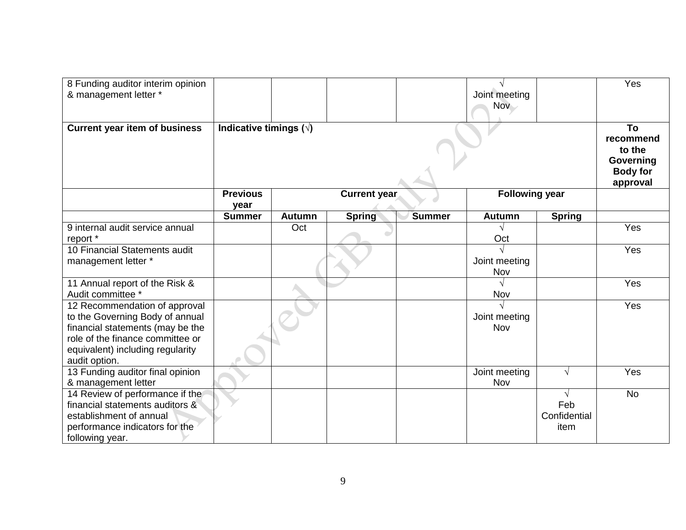| 8 Funding auditor interim opinion                      |                                |                     |               |               |                       |               | Yes                                                                   |
|--------------------------------------------------------|--------------------------------|---------------------|---------------|---------------|-----------------------|---------------|-----------------------------------------------------------------------|
| & management letter *                                  |                                |                     |               |               | Joint meeting         |               |                                                                       |
|                                                        |                                |                     |               |               | Nov -                 |               |                                                                       |
|                                                        |                                |                     |               |               |                       |               |                                                                       |
| <b>Current year item of business</b>                   | Indicative timings $(\sqrt{)}$ |                     |               |               |                       |               | To<br>recommend<br>to the<br>Governing<br><b>Body for</b><br>approval |
|                                                        | <b>Previous</b><br>year        | <b>Current year</b> |               |               | <b>Following year</b> |               |                                                                       |
|                                                        | <b>Summer</b>                  | <b>Autumn</b>       | <b>Spring</b> | <b>Summer</b> | <b>Autumn</b>         | <b>Spring</b> |                                                                       |
| 9 internal audit service annual                        |                                | Oct                 |               |               |                       |               | Yes                                                                   |
| report *                                               |                                |                     |               |               | Oct                   |               |                                                                       |
| 10 Financial Statements audit                          |                                |                     |               |               |                       |               | Yes                                                                   |
| management letter *                                    |                                |                     |               |               | Joint meeting<br>Nov  |               |                                                                       |
| 11 Annual report of the Risk &                         |                                |                     |               |               |                       |               | Yes                                                                   |
| Audit committee *                                      |                                |                     |               |               | Nov                   |               |                                                                       |
| 12 Recommendation of approval                          |                                |                     |               |               |                       |               | Yes                                                                   |
| to the Governing Body of annual                        |                                |                     |               |               | Joint meeting         |               |                                                                       |
| financial statements (may be the                       |                                |                     |               |               | Nov                   |               |                                                                       |
| role of the finance committee or                       |                                |                     |               |               |                       |               |                                                                       |
| equivalent) including regularity                       |                                |                     |               |               |                       |               |                                                                       |
| audit option.                                          |                                |                     |               |               |                       |               |                                                                       |
| 13 Funding auditor final opinion                       |                                |                     |               |               | Joint meeting<br>Nov  | $\sqrt{ }$    | Yes                                                                   |
| & management letter<br>14 Review of performance if the |                                |                     |               |               |                       | $\sqrt{ }$    | <b>No</b>                                                             |
| financial statements auditors &                        |                                |                     |               |               |                       | Feb           |                                                                       |
| establishment of annual                                |                                |                     |               |               |                       | Confidential  |                                                                       |
| performance indicators for the                         |                                |                     |               |               |                       | item          |                                                                       |
| following year.                                        |                                |                     |               |               |                       |               |                                                                       |